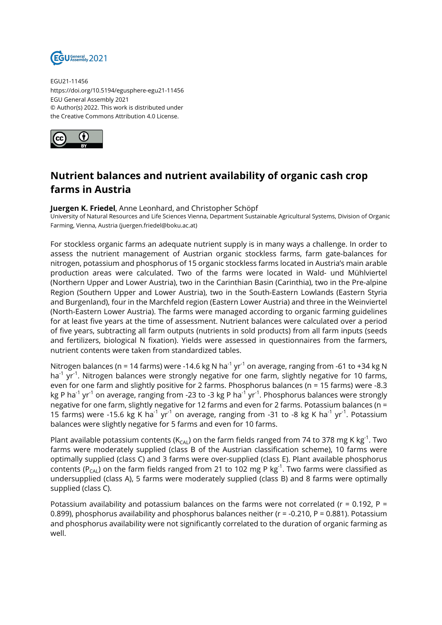

EGU21-11456 https://doi.org/10.5194/egusphere-egu21-11456 EGU General Assembly 2021 © Author(s) 2022. This work is distributed under the Creative Commons Attribution 4.0 License.



## **Nutrient balances and nutrient availability of organic cash crop farms in Austria**

**Juergen K. Friedel**, Anne Leonhard, and Christopher Schöpf

University of Natural Resources and Life Sciences Vienna, Department Sustainable Agricultural Systems, Division of Organic Farming, Vienna, Austria (juergen.friedel@boku.ac.at)

For stockless organic farms an adequate nutrient supply is in many ways a challenge. In order to assess the nutrient management of Austrian organic stockless farms, farm gate-balances for nitrogen, potassium and phosphorus of 15 organic stockless farms located in Austria's main arable production areas were calculated. Two of the farms were located in Wald- und Mühlviertel (Northern Upper and Lower Austria), two in the Carinthian Basin (Carinthia), two in the Pre-alpine Region (Southern Upper and Lower Austria), two in the South-Eastern Lowlands (Eastern Styria and Burgenland), four in the Marchfeld region (Eastern Lower Austria) and three in the Weinviertel (North-Eastern Lower Austria). The farms were managed according to organic farming guidelines for at least five years at the time of assessment. Nutrient balances were calculated over a period of five years, subtracting all farm outputs (nutrients in sold products) from all farm inputs (seeds and fertilizers, biological N fixation). Yields were assessed in questionnaires from the farmers, nutrient contents were taken from standardized tables.

Nitrogen balances (n = 14 farms) were -14.6 kg N ha<sup>-1</sup> yr<sup>-1</sup> on average, ranging from -61 to +34 kg N ha<sup>-1</sup> yr<sup>-1</sup>. Nitrogen balances were strongly negative for one farm, slightly negative for 10 farms, even for one farm and slightly positive for 2 farms. Phosphorus balances (n = 15 farms) were -8.3 kg P ha<sup>-1</sup> yr<sup>-1</sup> on average, ranging from -23 to -3 kg P ha<sup>-1</sup> yr<sup>-1</sup>. Phosphorus balances were strongly negative for one farm, slightly negative for 12 farms and even for 2 farms. Potassium balances (n = 15 farms) were -15.6 kg K ha<sup>-1</sup> yr<sup>-1</sup> on average, ranging from -31 to -8 kg K ha<sup>-1</sup> yr<sup>-1</sup>. Potassium balances were slightly negative for 5 farms and even for 10 farms.

Plant available potassium contents ( $K_{CAL}$ ) on the farm fields ranged from 74 to 378 mg K kg<sup>-1</sup>. Two farms were moderately supplied (class B of the Austrian classification scheme), 10 farms were optimally supplied (class C) and 3 farms were over-supplied (class E). Plant available phosphorus contents ( $P_{CA}$ ) on the farm fields ranged from 21 to 102 mg P kg<sup>-1</sup>. Two farms were classified as undersupplied (class A), 5 farms were moderately supplied (class B) and 8 farms were optimally supplied (class C).

Potassium availability and potassium balances on the farms were not correlated ( $r = 0.192$ ,  $P =$ 0.899), phosphorus availability and phosphorus balances neither (r = -0.210, P = 0.881). Potassium and phosphorus availability were not significantly correlated to the duration of organic farming as well.